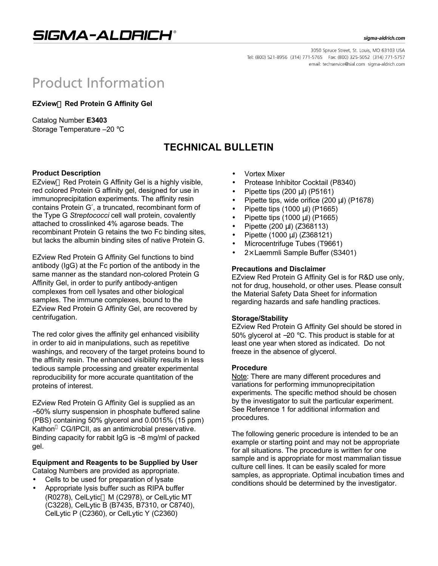SIGMA-ALDRICH®

#### sigma-aldrich.com

3050 Spruce Street, St. Louis, MO 63103 USA Tel: (800) 521-8956 (314) 771-5765 Fax: (800) 325-5052 (314) 771-5757 email: techservice@sial.com sigma-aldrich.com

# **Product Information**

**EZview<sup>™</sup> Red Protein G Affinity Gel** 

Catalog Number **E3403** Storage Temperature –20 °C

## **TECHNICAL BULLETIN**

#### **Product Description**

EZview<sup>™</sup> Red Protein G Affinity Gel is a highly visible, red colored Protein G affinity gel, designed for use in immunoprecipitation experiments. The affinity resin contains Protein G′, a truncated, recombinant form of the Type G *Streptococci* cell wall protein, covalently attached to crosslinked 4% agarose beads. The recombinant Protein G retains the two Fc binding sites, but lacks the albumin binding sites of native Protein G.

EZview Red Protein G Affinity Gel functions to bind antibody (IgG) at the Fc portion of the antibody in the same manner as the standard non-colored Protein G Affinity Gel, in order to purify antibody-antigen complexes from cell lysates and other biological samples. The immune complexes, bound to the EZview Red Protein G Affinity Gel, are recovered by centrifugation.

The red color gives the affinity gel enhanced visibility in order to aid in manipulations, such as repetitive washings, and recovery of the target proteins bound to the affinity resin. The enhanced visibility results in less tedious sample processing and greater experimental reproducibility for more accurate quantitation of the proteins of interest.

EZview Red Protein G Affinity Gel is supplied as an ∼50% slurry suspension in phosphate buffered saline (PBS) containing 50% glycerol and 0.0015% (15 ppm) Kathon $^{\circ}$  CG/IPCII, as an antimicrobial preservative. Binding capacity for rabbit IgG is ∼8 mg/ml of packed gel.

#### **Equipment and Reagents to be Supplied by User** Catalog Numbers are provided as appropriate.

- Cells to be used for preparation of lysate
- Appropriate lysis buffer such as RIPA buffer (R0278), CelLytic<sup>™</sup> M (C2978), or CelLytic MT (C3228), CelLytic B (B7435, B7310, or C8740), CelLytic P (C2360), or CelLytic Y (C2360)
- Vortex Mixer
- Protease Inhibitor Cocktail (P8340)
- Pipette tips  $(200 \mu l)$  (P5161)
- Pipette tips, wide orifice (200 μl) (P1678)
- Pipette tips (1000 μl) (P1665)
- Pipette tips (1000 μl) (P1665)
- Pipette (200 μl) (Z368113)
- Pipette (1000 μl) (Z368121)
- Microcentrifuge Tubes (T9661)
- $2\times$  Laemmli Sample Buffer (S3401)

#### **Precautions and Disclaimer**

EZview Red Protein G Affinity Gel is for R&D use only, not for drug, household, or other uses. Please consult the Material Safety Data Sheet for information regarding hazards and safe handling practices.

#### **Storage/Stability**

EZview Red Protein G Affinity Gel should be stored in 50% glycerol at −20 °C. This product is stable for at least one year when stored as indicated. Do not freeze in the absence of glycerol.

#### **Procedure**

Note: There are many different procedures and variations for performing immunoprecipitation experiments. The specific method should be chosen by the investigator to suit the particular experiment. See Reference 1 for additional information and procedures.

The following generic procedure is intended to be an example or starting point and may not be appropriate for all situations. The procedure is written for one sample and is appropriate for most mammalian tissue culture cell lines. It can be easily scaled for more samples, as appropriate. Optimal incubation times and conditions should be determined by the investigator.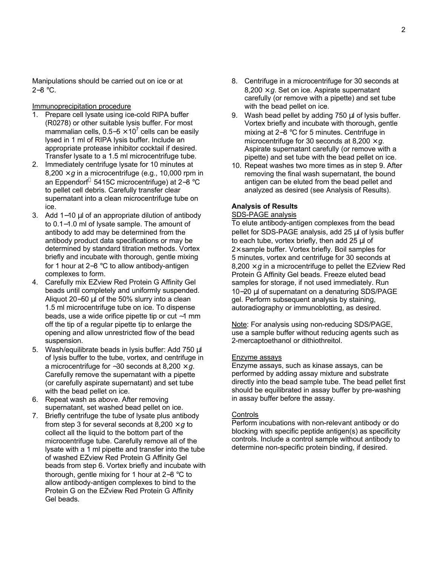Manipulations should be carried out on ice or at 2−8 °C.

#### Immunoprecipitation procedure

- 1. Prepare cell lysate using ice-cold RIPA buffer (R0278) or other suitable lysis buffer. For most mammalian cells, 0.5–5  $\times$  10<sup>7</sup> cells can be easily lysed in 1 ml of RIPA lysis buffer. Include an appropriate protease inhibitor cocktail if desired. Transfer lysate to a 1.5 ml microcentrifuge tube.
- 2. Immediately centrifuge lysate for 10 minutes at  $8,200 \times g$  in a microcentrifuge (e.g., 10,000 rpm in an Eppendorf 5415C microcentrifuge) at 2−8 °C to pellet cell debris. Carefully transfer clear supernatant into a clean microcentrifuge tube on ice.
- 3. Add 1−10 μl of an appropriate dilution of antibody to 0.1−1.0 ml of lysate sample. The amount of antibody to add may be determined from the antibody product data specifications or may be determined by standard titration methods. Vortex briefly and incubate with thorough, gentle mixing for 1 hour at 2−8 °C to allow antibody-antigen complexes to form.
- 4. Carefully mix EZview Red Protein G Affinity Gel beads until completely and uniformly suspended. Aliquot 20−50 μl of the 50% slurry into a clean 1.5 ml microcentrifuge tube on ice. To dispense beads, use a wide orifice pipette tip or cut ∼1 mm off the tip of a regular pipette tip to enlarge the opening and allow unrestricted flow of the bead suspension.
- 5. Wash/equilibrate beads in lysis buffer: Add 750 μl of lysis buffer to the tube, vortex, and centrifuge in a microcentrifuge for ∼30 seconds at 8,200 × *g*. Carefully remove the supernatant with a pipette (or carefully aspirate supernatant) and set tube with the bead pellet on ice.
- 6. Repeat wash as above. After removing supernatant, set washed bead pellet on ice.
- 7. Briefly centrifuge the tube of lysate plus antibody from step 3 for several seconds at  $8,200 \times g$  to collect all the liquid to the bottom part of the microcentrifuge tube. Carefully remove all of the lysate with a 1 ml pipette and transfer into the tube of washed EZview Red Protein G Affinity Gel beads from step 6. Vortex briefly and incubate with thorough, gentle mixing for 1 hour at 2−8 °C to allow antibody-antigen complexes to bind to the Protein G on the EZview Red Protein G Affinity Gel beads.
- 8. Centrifuge in a microcentrifuge for 30 seconds at  $8,200 \times q$ . Set on ice. Aspirate supernatant carefully (or remove with a pipette) and set tube with the bead pellet on ice.
- 9. Wash bead pellet by adding 750 μl of lysis buffer. Vortex briefly and incubate with thorough, gentle mixing at 2−8 °C for 5 minutes. Centrifuge in microcentrifuge for 30 seconds at  $8,200 \times g$ . Aspirate supernatant carefully (or remove with a pipette) and set tube with the bead pellet on ice.
- 10. Repeat washes two more times as in step 9. After removing the final wash supernatant, the bound antigen can be eluted from the bead pellet and analyzed as desired (see Analysis of Results).

#### **Analysis of Results**

#### SDS-PAGE analysis

To elute antibody-antigen complexes from the bead pellet for SDS-PAGE analysis, add 25 μl of lysis buffer to each tube, vortex briefly, then add 25 μl of  $2\times$  sample buffer. Vortex briefly. Boil samples for 5 minutes, vortex and centrifuge for 30 seconds at  $8,200 \times q$  in a microcentrifuge to pellet the EZview Red Protein G Affinity Gel beads. Freeze eluted bead samples for storage, if not used immediately. Run 10−20 μl of supernatant on a denaturing SDS/PAGE gel. Perform subsequent analysis by staining, autoradiography or immunoblotting, as desired.

Note: For analysis using non-reducing SDS/PAGE. use a sample buffer without reducing agents such as 2-mercaptoethanol or dithiothreitol.

#### Enzyme assays

Enzyme assays, such as kinase assays, can be performed by adding assay mixture and substrate directly into the bead sample tube. The bead pellet first should be equilibrated in assay buffer by pre-washing in assay buffer before the assay.

#### **Controls**

Perform incubations with non-relevant antibody or do blocking with specific peptide antigen(s) as specificity controls. Include a control sample without antibody to determine non-specific protein binding, if desired.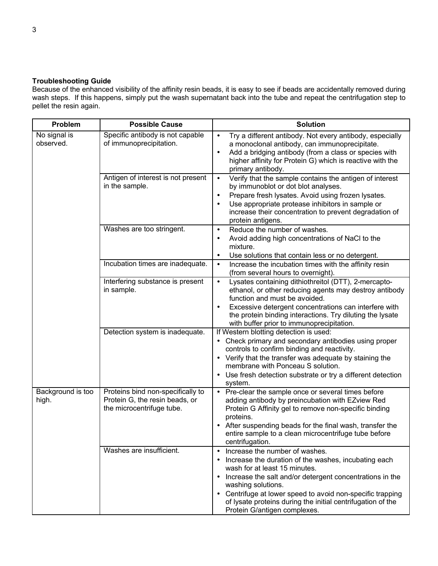### **Troubleshooting Guide**

Because of the enhanced visibility of the affinity resin beads, it is easy to see if beads are accidentally removed during wash steps. If this happens, simply put the wash supernatant back into the tube and repeat the centrifugation step to pellet the resin again.

| Problem                    | <b>Possible Cause</b>                                                                            | <b>Solution</b>                                                                                                                                                                                                                                                                                                                                                                                    |
|----------------------------|--------------------------------------------------------------------------------------------------|----------------------------------------------------------------------------------------------------------------------------------------------------------------------------------------------------------------------------------------------------------------------------------------------------------------------------------------------------------------------------------------------------|
| No signal is<br>observed.  | Specific antibody is not capable<br>of immunoprecipitation.                                      | Try a different antibody. Not every antibody, especially<br>$\bullet$<br>a monoclonal antibody, can immunoprecipitate.<br>Add a bridging antibody (from a class or species with<br>higher affinity for Protein G) which is reactive with the<br>primary antibody.                                                                                                                                  |
|                            | Antigen of interest is not present<br>in the sample.                                             | Verify that the sample contains the antigen of interest<br>$\bullet$<br>by immunoblot or dot blot analyses.<br>Prepare fresh lysates. Avoid using frozen lysates.<br>$\bullet$<br>Use appropriate protease inhibitors in sample or<br>increase their concentration to prevent degradation of<br>protein antigens.                                                                                  |
|                            | Washes are too stringent.                                                                        | Reduce the number of washes.<br>$\bullet$<br>Avoid adding high concentrations of NaCl to the<br>$\bullet$<br>mixture.<br>Use solutions that contain less or no detergent.<br>$\bullet$                                                                                                                                                                                                             |
|                            | Incubation times are inadequate.                                                                 | Increase the incubation times with the affinity resin<br>$\bullet$<br>(from several hours to overnight).                                                                                                                                                                                                                                                                                           |
|                            | Interfering substance is present<br>in sample.                                                   | Lysates containing dithiothreitol (DTT), 2-mercapto-<br>$\bullet$<br>ethanol, or other reducing agents may destroy antibody<br>function and must be avoided.<br>Excessive detergent concentrations can interfere with<br>the protein binding interactions. Try diluting the lysate<br>with buffer prior to immunoprecipitation.                                                                    |
|                            | Detection system is inadequate.                                                                  | If Western blotting detection is used:<br>• Check primary and secondary antibodies using proper<br>controls to confirm binding and reactivity.<br>• Verify that the transfer was adequate by staining the<br>membrane with Ponceau S solution.<br>• Use fresh detection substrate or try a different detection<br>system.                                                                          |
| Background is too<br>high. | Proteins bind non-specifically to<br>Protein G, the resin beads, or<br>the microcentrifuge tube. | • Pre-clear the sample once or several times before<br>adding antibody by preincubation with EZview Red<br>Protein G Affinity gel to remove non-specific binding<br>proteins.<br>• After suspending beads for the final wash, transfer the<br>entire sample to a clean microcentrifuge tube before<br>centrifugation.                                                                              |
|                            | Washes are insufficient.                                                                         | Increase the number of washes.<br>$\bullet$<br>Increase the duration of the washes, incubating each<br>$\bullet$<br>wash for at least 15 minutes.<br>• Increase the salt and/or detergent concentrations in the<br>washing solutions.<br>• Centrifuge at lower speed to avoid non-specific trapping<br>of lysate proteins during the initial centrifugation of the<br>Protein G/antigen complexes. |